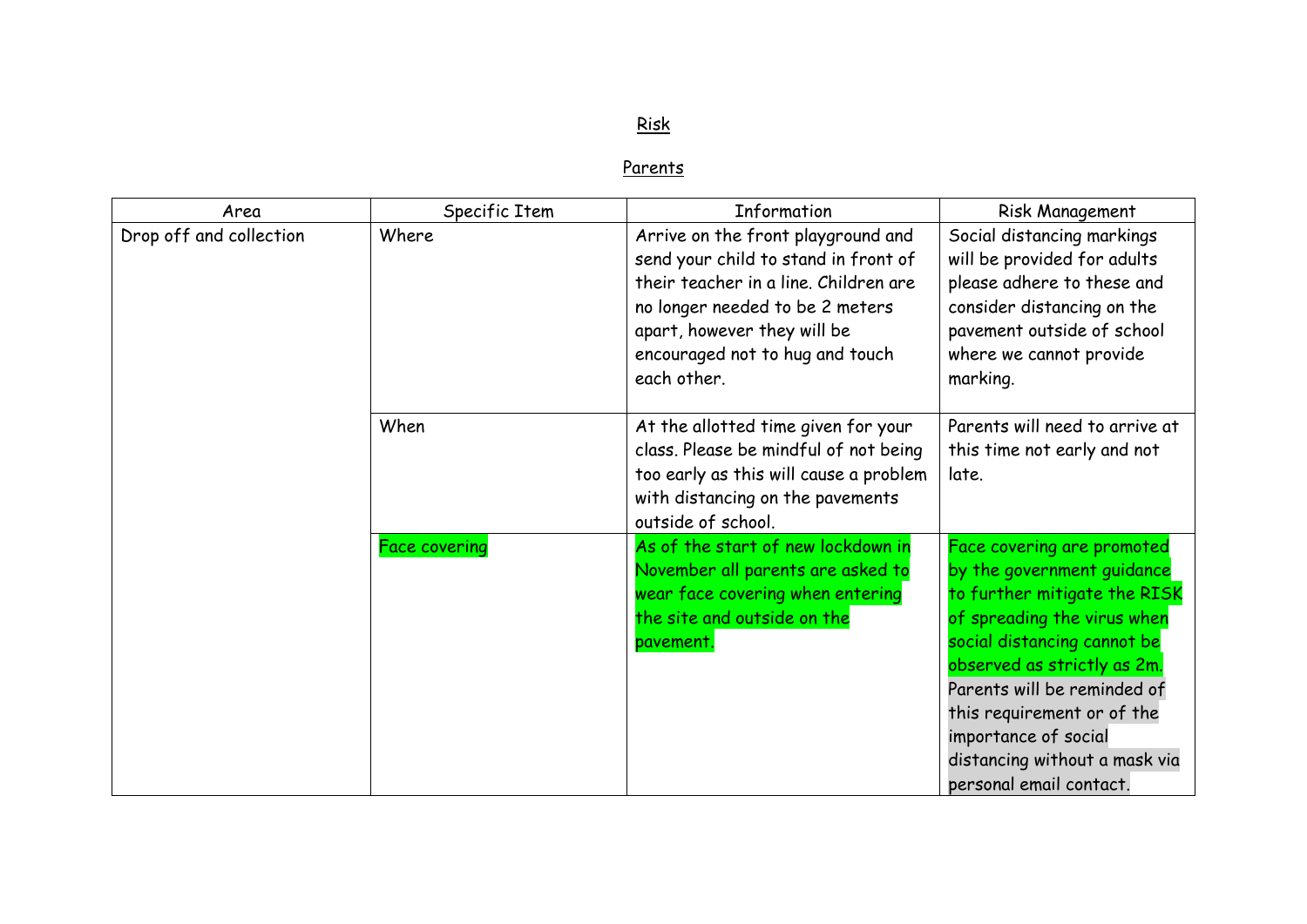## Risk

## **Parents**

| Area                    | Specific Item        | Information                                                                                                                                                                                                                             | Risk Management                                                                                                                                                                                                                                                                                                                        |
|-------------------------|----------------------|-----------------------------------------------------------------------------------------------------------------------------------------------------------------------------------------------------------------------------------------|----------------------------------------------------------------------------------------------------------------------------------------------------------------------------------------------------------------------------------------------------------------------------------------------------------------------------------------|
| Drop off and collection | Where                | Arrive on the front playground and<br>send your child to stand in front of<br>their teacher in a line. Children are<br>no longer needed to be 2 meters<br>apart, however they will be<br>encouraged not to hug and touch<br>each other. | Social distancing markings<br>will be provided for adults<br>please adhere to these and<br>consider distancing on the<br>pavement outside of school<br>where we cannot provide<br>marking.                                                                                                                                             |
|                         | When                 | At the allotted time given for your<br>class. Please be mindful of not being<br>too early as this will cause a problem<br>with distancing on the pavements<br>outside of school.                                                        | Parents will need to arrive at<br>this time not early and not<br>late.                                                                                                                                                                                                                                                                 |
|                         | <b>Face covering</b> | As of the start of new lockdown in<br>November all parents are asked to<br>wear face covering when entering<br>the site and outside on the<br>pavement.                                                                                 | Face covering are promoted<br>by the government guidance<br>to further mitigate the RISK<br>of spreading the virus when<br>social distancing cannot be<br>observed as strictly as 2m.<br>Parents will be reminded of<br>this requirement or of the<br>importance of social<br>distancing without a mask via<br>personal email contact. |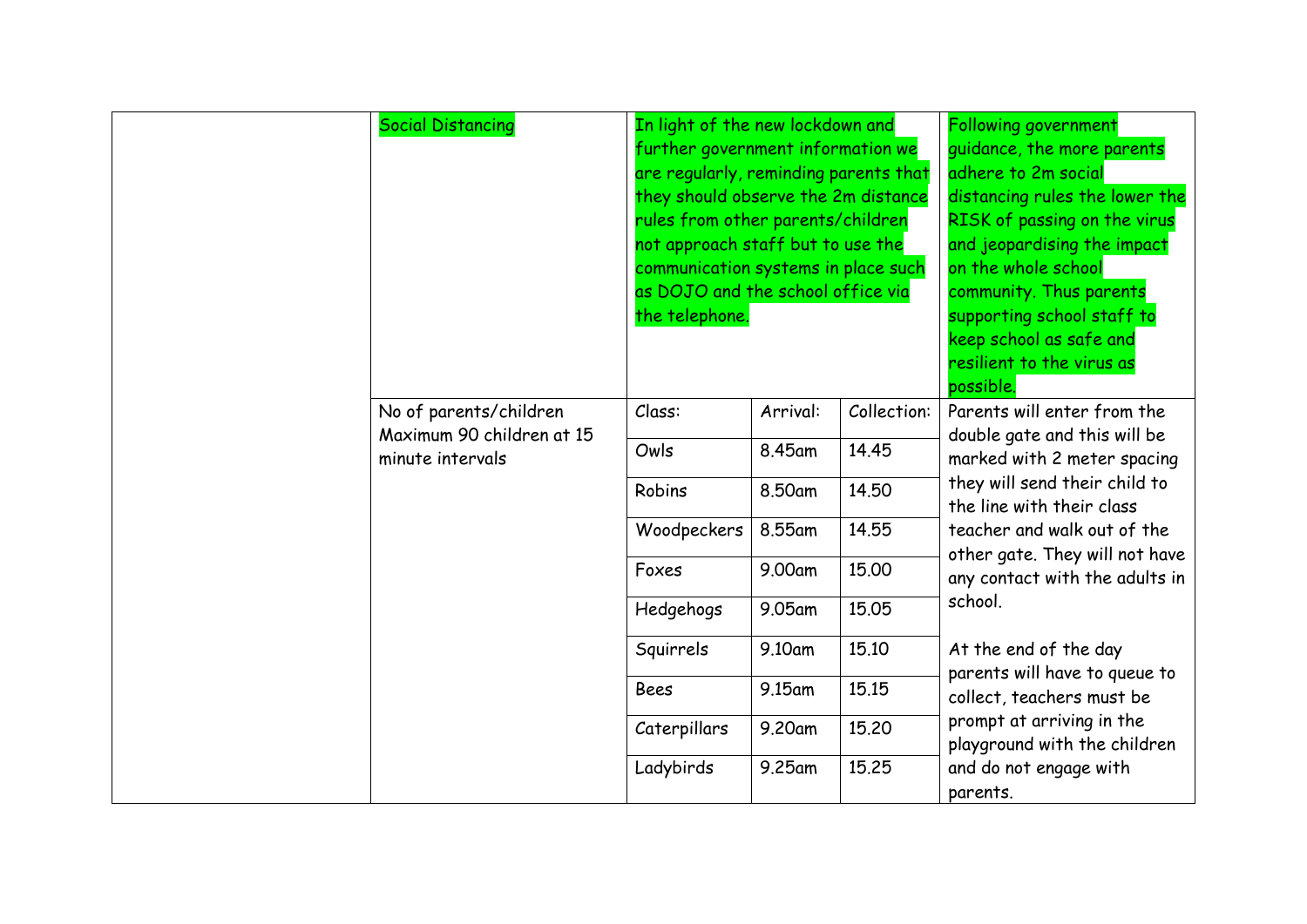| <b>Social Distancing</b>                            | In light of the new lockdown and<br>further government information we<br>are regularly, reminding parents that<br>they should observe the 2m distance<br>rules from other parents/children<br>not approach staff but to use the<br>communication systems in place such<br>as DOJO and the school office via<br>the telephone. |          |             | Following government<br>guidance, the more parents<br>adhere to 2m social<br>distancing rules the lower the<br>RISK of passing on the virus<br>and jeopardising the impact<br>on the whole school<br>community. Thus parents<br>supporting school staff to<br>keep school as safe and<br>resilient to the virus as<br>possible. |
|-----------------------------------------------------|-------------------------------------------------------------------------------------------------------------------------------------------------------------------------------------------------------------------------------------------------------------------------------------------------------------------------------|----------|-------------|---------------------------------------------------------------------------------------------------------------------------------------------------------------------------------------------------------------------------------------------------------------------------------------------------------------------------------|
| No of parents/children<br>Maximum 90 children at 15 | Class:                                                                                                                                                                                                                                                                                                                        | Arrival: | Collection: | Parents will enter from the                                                                                                                                                                                                                                                                                                     |
| minute intervals                                    | Owls                                                                                                                                                                                                                                                                                                                          | 8.45am   | 14.45       | double gate and this will be<br>marked with 2 meter spacing                                                                                                                                                                                                                                                                     |
|                                                     | Robins                                                                                                                                                                                                                                                                                                                        | 8.50am   | 14.50       | they will send their child to<br>the line with their class                                                                                                                                                                                                                                                                      |
|                                                     | Woodpeckers                                                                                                                                                                                                                                                                                                                   | 8.55am   | 14.55       | teacher and walk out of the<br>other gate. They will not have                                                                                                                                                                                                                                                                   |
|                                                     | Foxes                                                                                                                                                                                                                                                                                                                         | 9.00am   | 15.00       | any contact with the adults in                                                                                                                                                                                                                                                                                                  |
|                                                     | Hedgehogs                                                                                                                                                                                                                                                                                                                     | 9.05am   | 15.05       | school.                                                                                                                                                                                                                                                                                                                         |
|                                                     | Squirrels                                                                                                                                                                                                                                                                                                                     | 9.10am   | 15.10       | At the end of the day                                                                                                                                                                                                                                                                                                           |
|                                                     | Bees                                                                                                                                                                                                                                                                                                                          | 9.15am   | 15.15       | parents will have to queue to<br>collect, teachers must be                                                                                                                                                                                                                                                                      |
|                                                     | Caterpillars                                                                                                                                                                                                                                                                                                                  | 9.20am   | 15.20       | prompt at arriving in the<br>playground with the children                                                                                                                                                                                                                                                                       |
|                                                     | Ladybirds                                                                                                                                                                                                                                                                                                                     | 9.25am   | 15.25       | and do not engage with<br>parents.                                                                                                                                                                                                                                                                                              |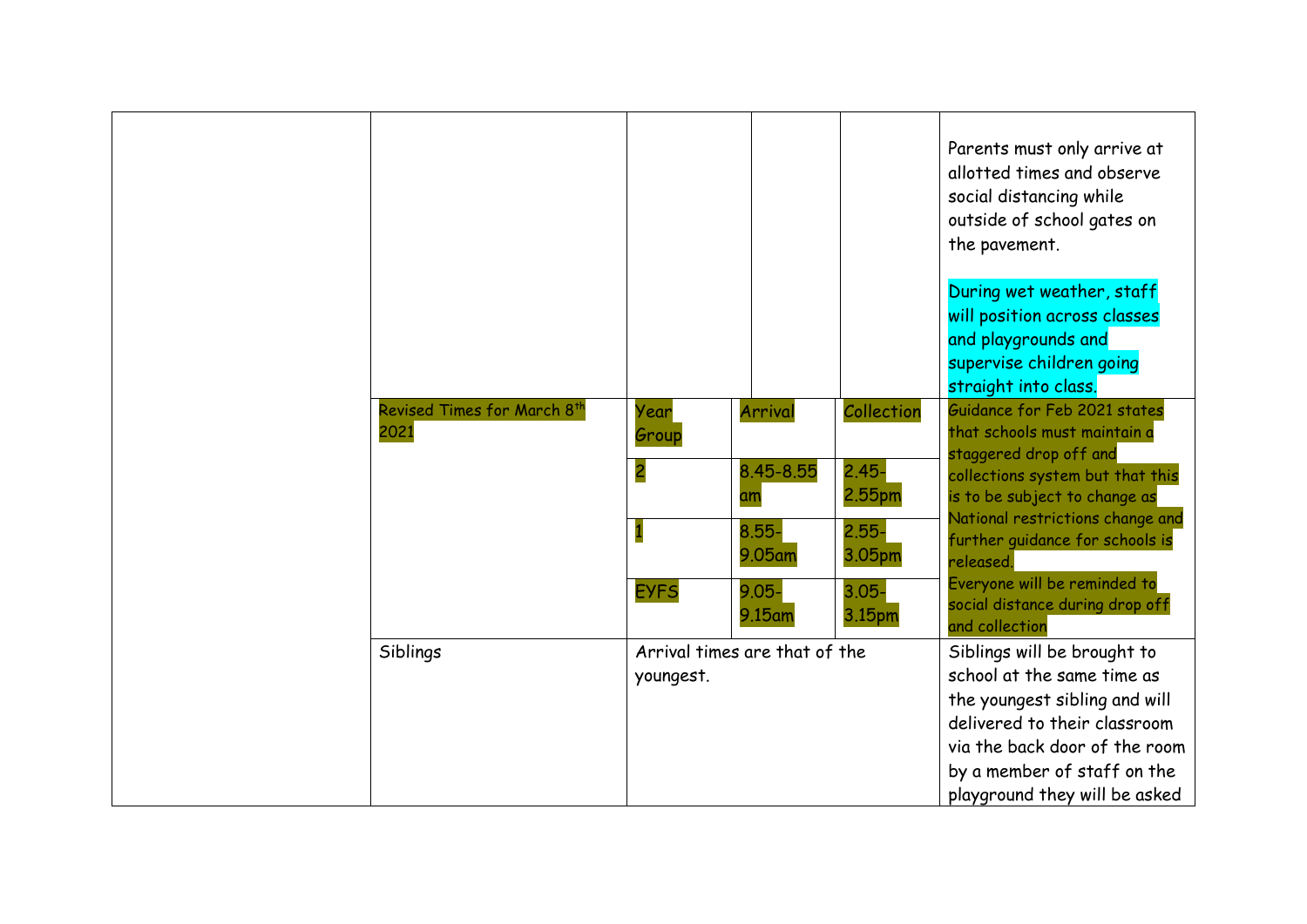|                                     |                                            |                                                                        |                                                                              | Parents must only arrive at<br>allotted times and observe<br>social distancing while<br>outside of school gates on<br>the pavement.                                                                                                                                                                                                  |
|-------------------------------------|--------------------------------------------|------------------------------------------------------------------------|------------------------------------------------------------------------------|--------------------------------------------------------------------------------------------------------------------------------------------------------------------------------------------------------------------------------------------------------------------------------------------------------------------------------------|
|                                     |                                            |                                                                        |                                                                              | During wet weather, staff<br>will position across classes<br>and playgrounds and<br>supervise children going<br>straight into class.                                                                                                                                                                                                 |
| Revised Times for March 8th<br>2021 | Year<br>Group<br><b>EYFS</b>               | Arrival<br>8.45-8.55<br>am<br>$8.55 -$<br>9.05am<br>$9.05 -$<br>9.15am | Collection<br>$2.45 -$<br>2.55pm<br>$2.55 -$<br>3.05pm<br>$3.05 -$<br>3.15pm | Guidance for Feb 2021 states<br>that schools must maintain a<br>staggered drop off and<br>collections system but that this<br>is to be subject to change as<br>National restrictions change and<br>further guidance for schools is<br>released.<br>Everyone will be reminded to<br>social distance during drop off<br>and collection |
| Siblings                            | Arrival times are that of the<br>youngest. |                                                                        |                                                                              | Siblings will be brought to<br>school at the same time as<br>the youngest sibling and will<br>delivered to their classroom<br>via the back door of the room<br>by a member of staff on the<br>playground they will be asked                                                                                                          |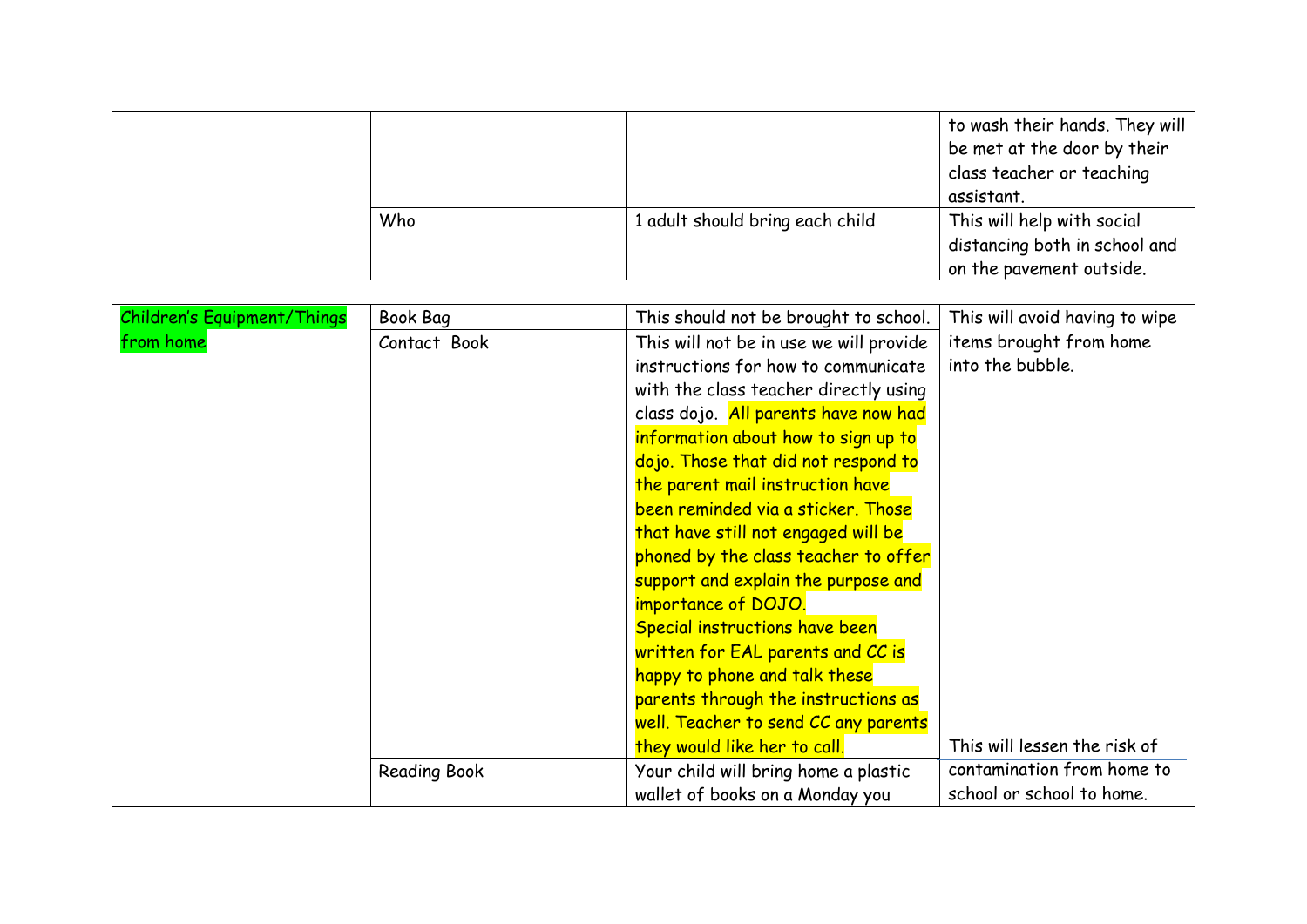|                                    |                     |                                         | to wash their hands. They will<br>be met at the door by their<br>class teacher or teaching<br>assistant. |
|------------------------------------|---------------------|-----------------------------------------|----------------------------------------------------------------------------------------------------------|
|                                    | Who                 | 1 adult should bring each child         | This will help with social<br>distancing both in school and<br>on the pavement outside.                  |
|                                    |                     |                                         |                                                                                                          |
| <b>Children's Equipment/Things</b> | <b>Book Bag</b>     | This should not be brought to school.   | This will avoid having to wipe                                                                           |
| from home                          | Contact Book        | This will not be in use we will provide | items brought from home                                                                                  |
|                                    |                     | instructions for how to communicate     | into the bubble.                                                                                         |
|                                    |                     | with the class teacher directly using   |                                                                                                          |
|                                    |                     | class dojo. All parents have now had    |                                                                                                          |
|                                    |                     | information about how to sign up to     |                                                                                                          |
|                                    |                     | dojo. Those that did not respond to     |                                                                                                          |
|                                    |                     | the parent mail instruction have        |                                                                                                          |
|                                    |                     | been reminded via a sticker. Those      |                                                                                                          |
|                                    |                     | that have still not engaged will be     |                                                                                                          |
|                                    |                     | phoned by the class teacher to offer    |                                                                                                          |
|                                    |                     | support and explain the purpose and     |                                                                                                          |
|                                    |                     | importance of DOJO.                     |                                                                                                          |
|                                    |                     | Special instructions have been          |                                                                                                          |
|                                    |                     | written for EAL parents and CC is       |                                                                                                          |
|                                    |                     | happy to phone and talk these           |                                                                                                          |
|                                    |                     | parents through the instructions as     |                                                                                                          |
|                                    |                     | well. Teacher to send CC any parents    |                                                                                                          |
|                                    |                     | they would like her to call.            | This will lessen the risk of                                                                             |
|                                    | <b>Reading Book</b> | Your child will bring home a plastic    | contamination from home to                                                                               |
|                                    |                     | wallet of books on a Monday you         | school or school to home.                                                                                |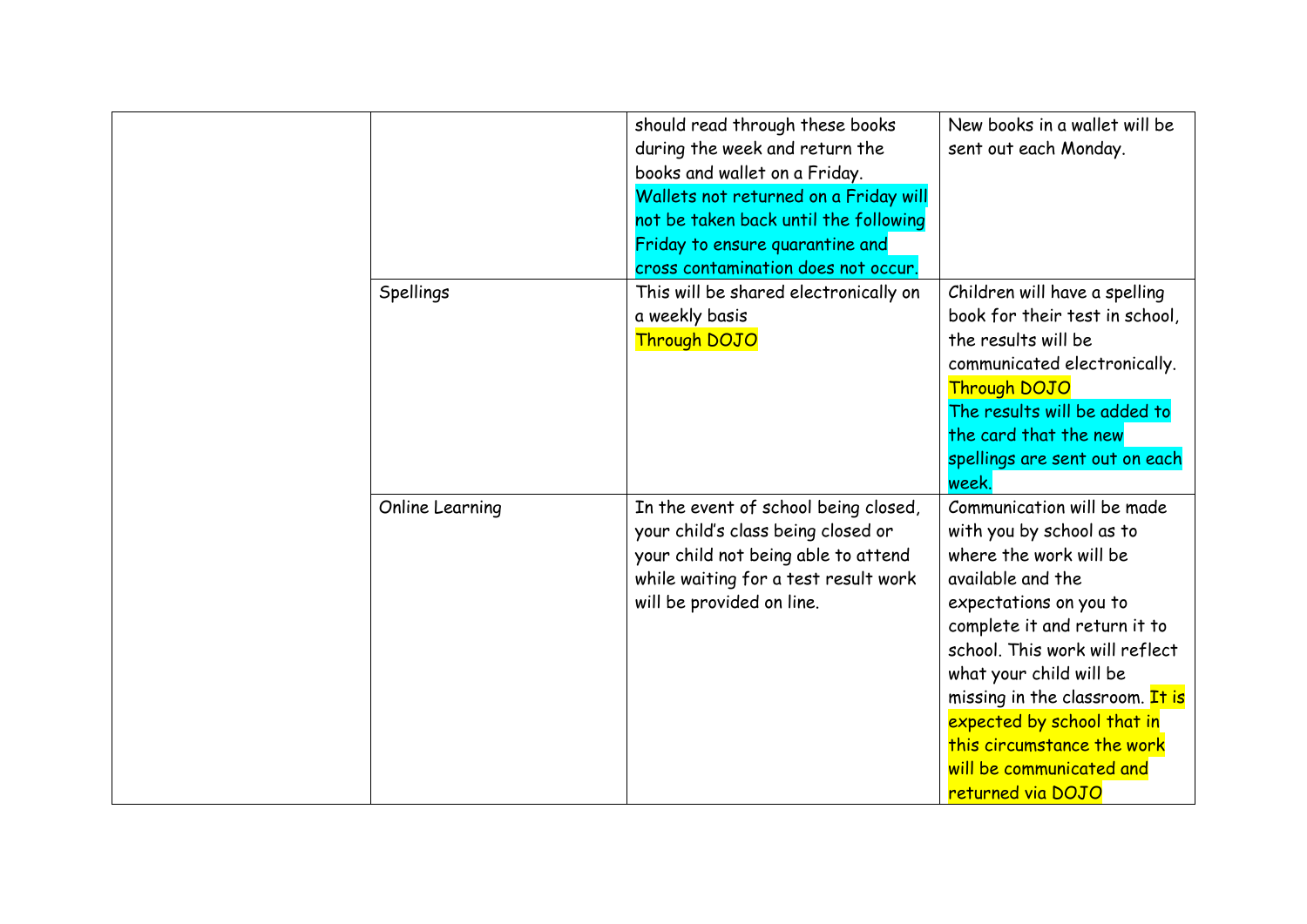| Spellings       | should read through these books<br>during the week and return the<br>books and wallet on a Friday.<br>Wallets not returned on a Friday will<br>not be taken back until the following<br>Friday to ensure quarantine and<br>cross contamination does not occur.<br>This will be shared electronically on<br>a weekly basis<br>Through DOJO | New books in a wallet will be<br>sent out each Monday.<br>Children will have a spelling<br>book for their test in school,<br>the results will be<br>communicated electronically.<br><b>Through DOJO</b><br>The results will be added to<br>the card that the new<br>spellings are sent out on each<br>week.                                                                  |
|-----------------|-------------------------------------------------------------------------------------------------------------------------------------------------------------------------------------------------------------------------------------------------------------------------------------------------------------------------------------------|------------------------------------------------------------------------------------------------------------------------------------------------------------------------------------------------------------------------------------------------------------------------------------------------------------------------------------------------------------------------------|
| Online Learning | In the event of school being closed,<br>your child's class being closed or<br>your child not being able to attend<br>while waiting for a test result work<br>will be provided on line.                                                                                                                                                    | Communication will be made<br>with you by school as to<br>where the work will be<br>available and the<br>expectations on you to<br>complete it and return it to<br>school. This work will reflect<br>what your child will be<br>missing in the classroom. It is<br>expected by school that in<br>this circumstance the work<br>will be communicated and<br>returned via DOJO |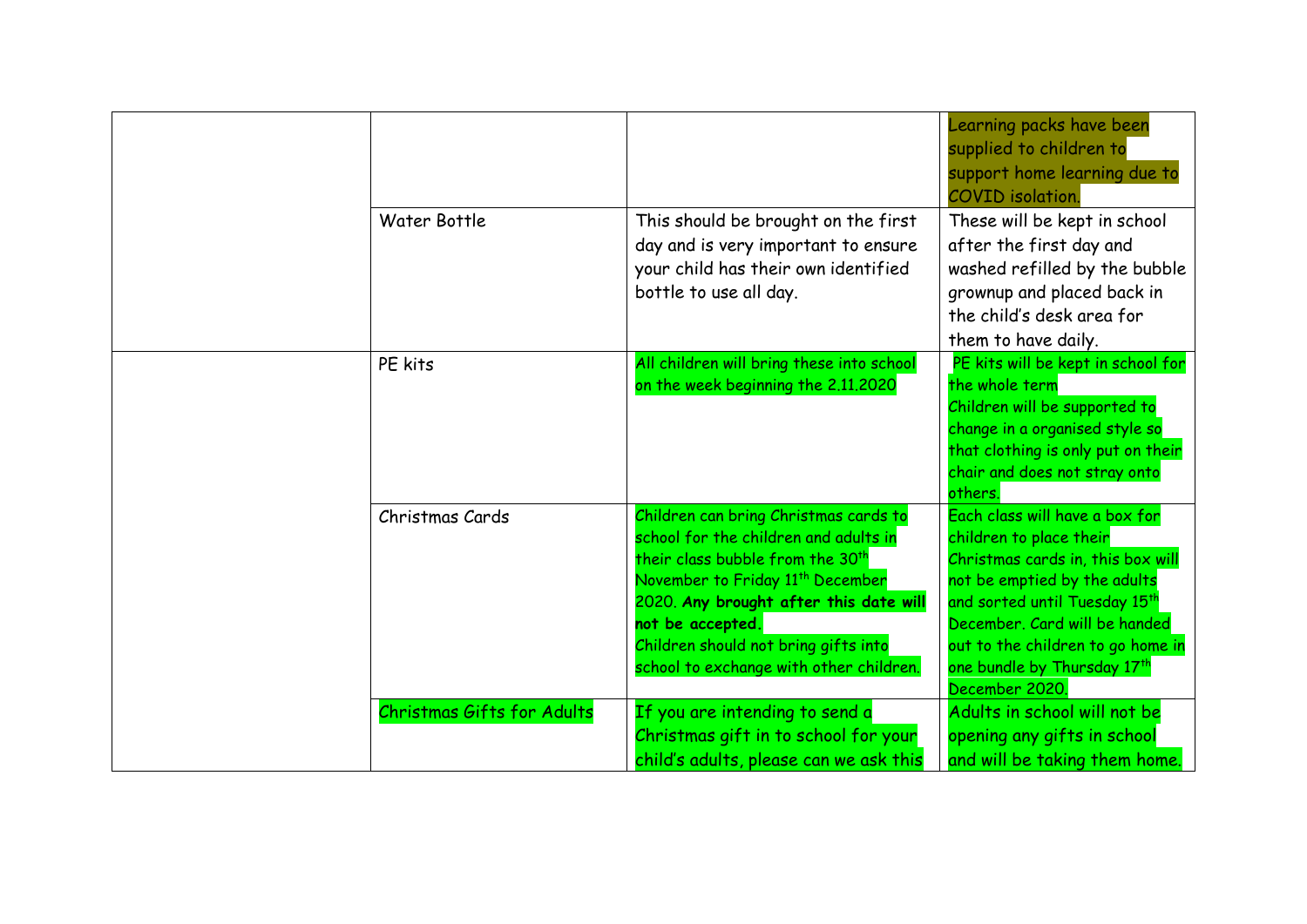|  |                                   |                                                                                                                                                                                                                                                                                                                                 | Learning packs have been<br>supplied to children to<br>support home learning due to<br><b>COVID</b> isolation.                                                                                                                                                                         |
|--|-----------------------------------|---------------------------------------------------------------------------------------------------------------------------------------------------------------------------------------------------------------------------------------------------------------------------------------------------------------------------------|----------------------------------------------------------------------------------------------------------------------------------------------------------------------------------------------------------------------------------------------------------------------------------------|
|  | Water Bottle                      | This should be brought on the first<br>day and is very important to ensure<br>your child has their own identified<br>bottle to use all day.                                                                                                                                                                                     | These will be kept in school<br>after the first day and<br>washed refilled by the bubble<br>grownup and placed back in<br>the child's desk area for<br>them to have daily.                                                                                                             |
|  | PE kits                           | All children will bring these into school<br>on the week beginning the 2.11.2020                                                                                                                                                                                                                                                | PE kits will be kept in school for<br>the whole term<br>Children will be supported to<br>change in a organised style so<br>that clothing is only put on their<br>chair and does not stray onto<br>others.                                                                              |
|  | Christmas Cards                   | Children can bring Christmas cards to<br>school for the children and adults in<br>their class bubble from the 30 <sup>th</sup><br>November to Friday 11 <sup>th</sup> December<br>2020. Any brought after this date will<br>not be accepted.<br>Children should not bring gifts into<br>school to exchange with other children. | Each class will have a box for<br>children to place their<br>Christmas cards in, this box will<br>not be emptied by the adults<br>and sorted until Tuesday 15th<br>December. Card will be handed<br>out to the children to go home in<br>one bundle by Thursday 17th<br>December 2020. |
|  | <b>Christmas Gifts for Adults</b> | If you are intending to send a<br>Christmas gift in to school for your<br>child's adults, please can we ask this                                                                                                                                                                                                                | Adults in school will not be<br>opening any gifts in school<br>and will be taking them home.                                                                                                                                                                                           |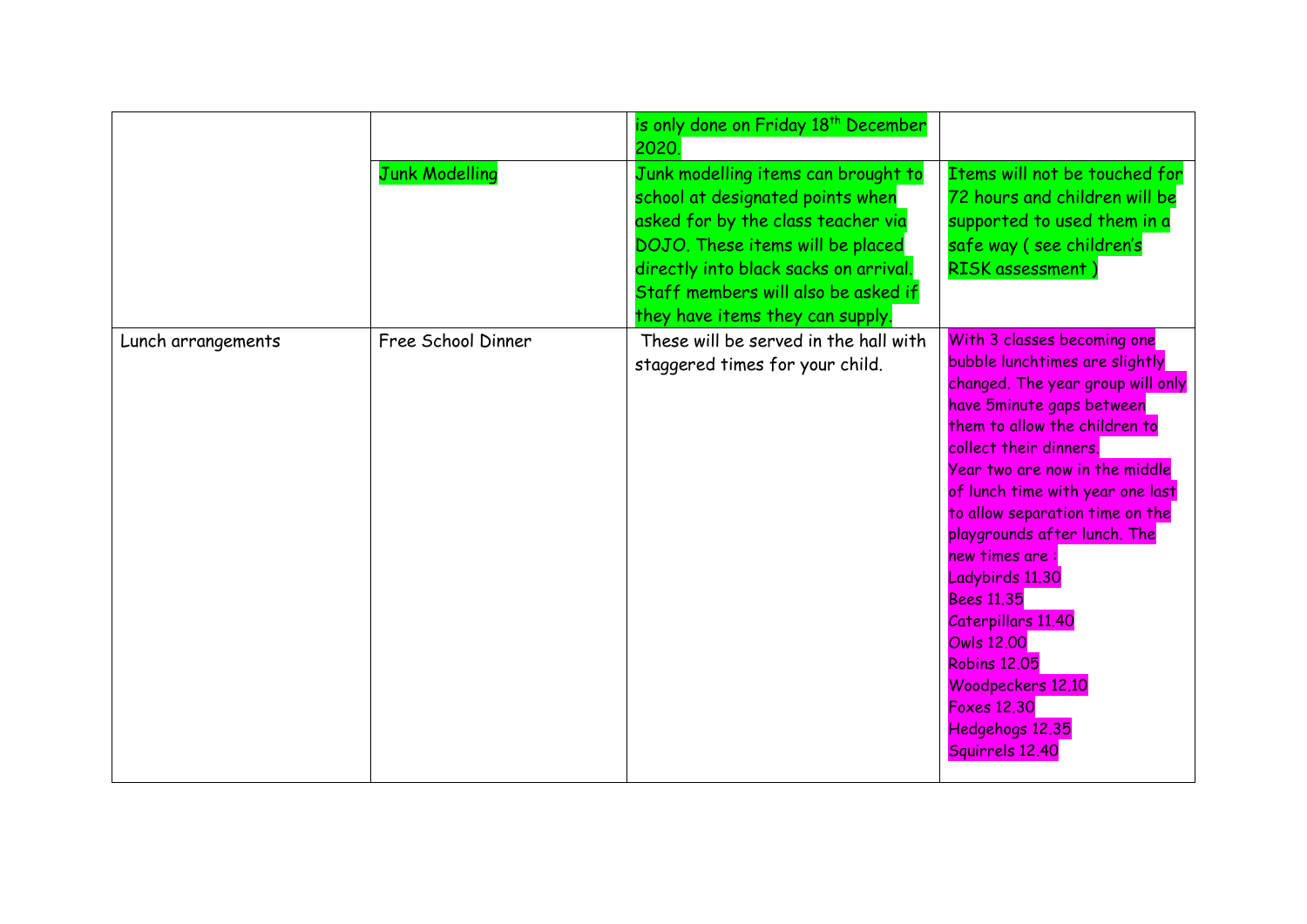|                    |                       | is only done on Friday 18 <sup>th</sup> December<br>2020.                                                                                                                                                                                                             |                                                                                                                                                                                                                                                                                                                                                                                                                                                                                                                                                  |
|--------------------|-----------------------|-----------------------------------------------------------------------------------------------------------------------------------------------------------------------------------------------------------------------------------------------------------------------|--------------------------------------------------------------------------------------------------------------------------------------------------------------------------------------------------------------------------------------------------------------------------------------------------------------------------------------------------------------------------------------------------------------------------------------------------------------------------------------------------------------------------------------------------|
|                    | <b>Junk Modelling</b> | Junk modelling items can brought to<br>school at designated points when<br>asked for by the class teacher via<br>DOJO. These items will be placed<br>directly into black sacks on arrival.<br>Staff members will also be asked if<br>they have items they can supply. | Items will not be touched for<br>72 hours and children will be<br>supported to used them in a<br>safe way (see children's<br>RISK assessment)                                                                                                                                                                                                                                                                                                                                                                                                    |
| Lunch arrangements | Free School Dinner    | These will be served in the hall with<br>staggered times for your child.                                                                                                                                                                                              | With 3 classes becoming one<br>bubble lunchtimes are slightly<br>changed. The year group will only<br>have 5minute gaps between<br>them to allow the children to<br>collect their dinners.<br>Year two are now in the middle<br>of lunch time with year one last<br>to allow separation time on the<br>playgrounds after lunch. The<br>new times are:<br>Ladybirds 11.30<br><b>Bees 11.35</b><br>Caterpillars 11.40<br><b>Owls 12,00</b><br><b>Robins 12,05</b><br>Woodpeckers 12.10<br><b>Foxes 12.30</b><br>Hedgehogs 12.35<br>Squirrels 12.40 |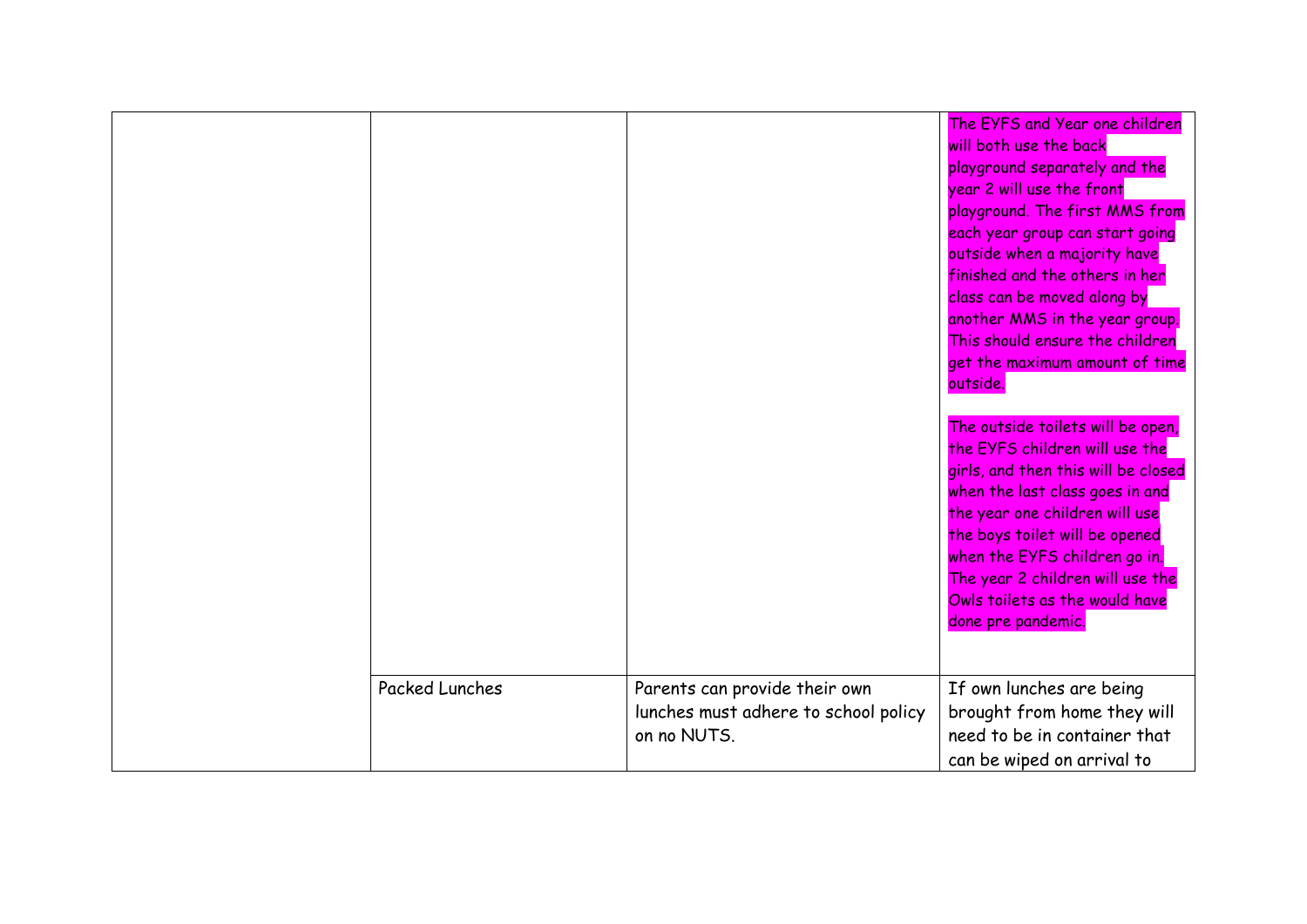| <b>Packed Lunches</b> | Parents can provide their own                       | The EYFS and Year one children<br>will both use the back<br>playground separately and the<br>year 2 will use the front<br>playground. The first MMS from<br>each year group can start going<br>outside when a majority have<br>finished and the others in her<br>class can be moved along by<br>another MMS in the year group.<br>This should ensure the children<br>get the maximum amount of time<br>outside.<br>The outside toilets will be open,<br>the EYFS children will use the<br>girls, and then this will be closed<br>when the last class goes in and<br>the year one children will use<br>the boys toilet will be opened<br>when the EYFS children go in.<br>The year 2 children will use the<br>Owls toilets as the would have<br>done pre pandemic.<br>If own lunches are being |
|-----------------------|-----------------------------------------------------|-----------------------------------------------------------------------------------------------------------------------------------------------------------------------------------------------------------------------------------------------------------------------------------------------------------------------------------------------------------------------------------------------------------------------------------------------------------------------------------------------------------------------------------------------------------------------------------------------------------------------------------------------------------------------------------------------------------------------------------------------------------------------------------------------|
|                       | lunches must adhere to school policy<br>on no NUTS. | brought from home they will<br>need to be in container that<br>can be wiped on arrival to                                                                                                                                                                                                                                                                                                                                                                                                                                                                                                                                                                                                                                                                                                     |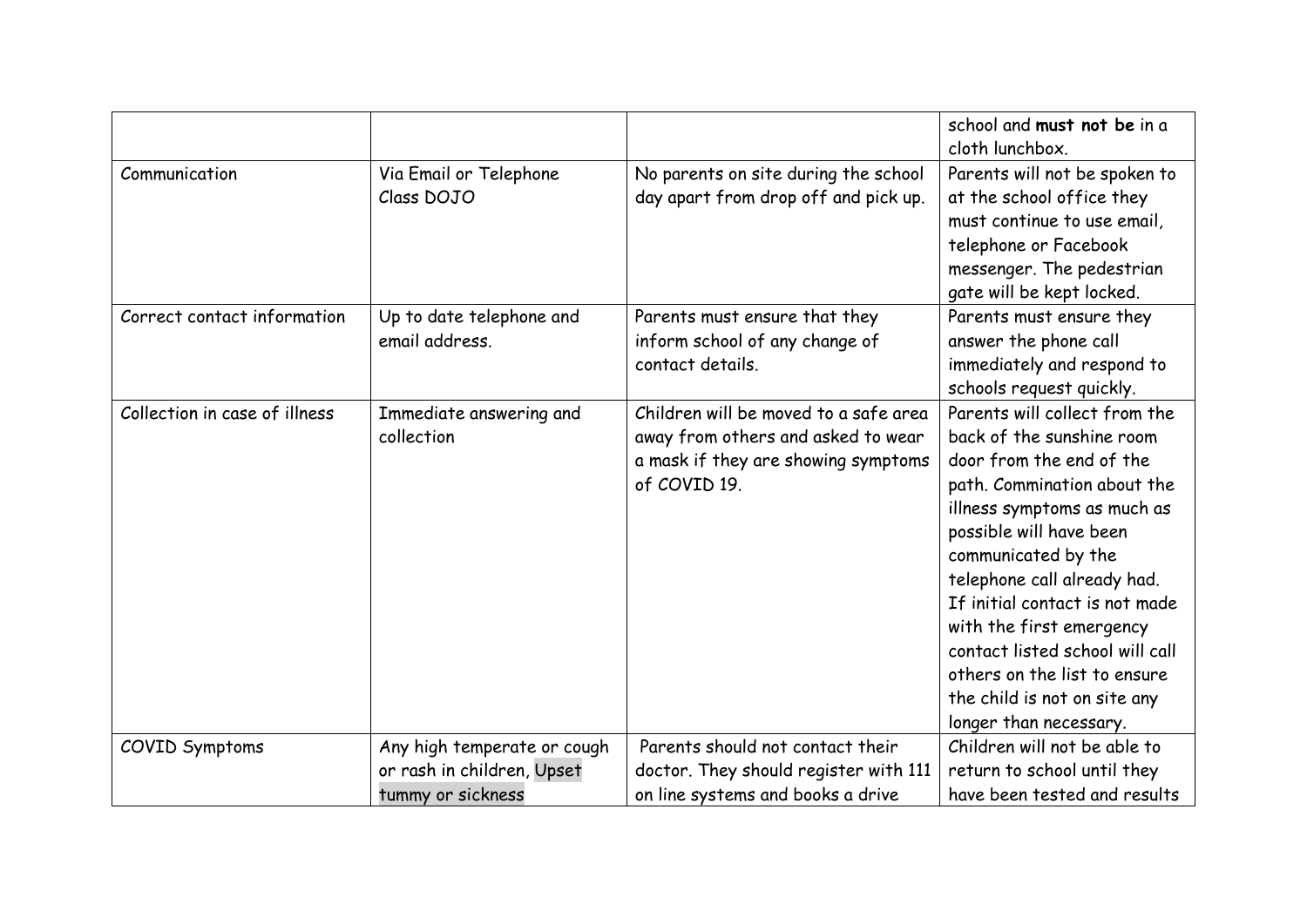|                               |                                            |                                                                                                                                    | school and must not be in a<br>cloth lunchbox.                                                                                                                                                                                                                                                                                                                                                                                   |
|-------------------------------|--------------------------------------------|------------------------------------------------------------------------------------------------------------------------------------|----------------------------------------------------------------------------------------------------------------------------------------------------------------------------------------------------------------------------------------------------------------------------------------------------------------------------------------------------------------------------------------------------------------------------------|
| Communication                 | Via Email or Telephone<br>Class DOJO       | No parents on site during the school<br>day apart from drop off and pick up.                                                       | Parents will not be spoken to<br>at the school office they<br>must continue to use email,<br>telephone or Facebook<br>messenger. The pedestrian<br>gate will be kept locked.                                                                                                                                                                                                                                                     |
| Correct contact information   | Up to date telephone and<br>email address. | Parents must ensure that they<br>inform school of any change of<br>contact details.                                                | Parents must ensure they<br>answer the phone call<br>immediately and respond to<br>schools request quickly.                                                                                                                                                                                                                                                                                                                      |
| Collection in case of illness | Immediate answering and<br>collection      | Children will be moved to a safe area<br>away from others and asked to wear<br>a mask if they are showing symptoms<br>of COVID 19. | Parents will collect from the<br>back of the sunshine room<br>door from the end of the<br>path. Commination about the<br>illness symptoms as much as<br>possible will have been<br>communicated by the<br>telephone call already had.<br>If initial contact is not made<br>with the first emergency<br>contact listed school will call<br>others on the list to ensure<br>the child is not on site any<br>longer than necessary. |
| COVID Symptoms                | Any high temperate or cough                | Parents should not contact their                                                                                                   | Children will not be able to                                                                                                                                                                                                                                                                                                                                                                                                     |
|                               | or rash in children, Upset                 | doctor. They should register with 111                                                                                              | return to school until they                                                                                                                                                                                                                                                                                                                                                                                                      |
|                               | tummy or sickness                          | on line systems and books a drive                                                                                                  | have been tested and results                                                                                                                                                                                                                                                                                                                                                                                                     |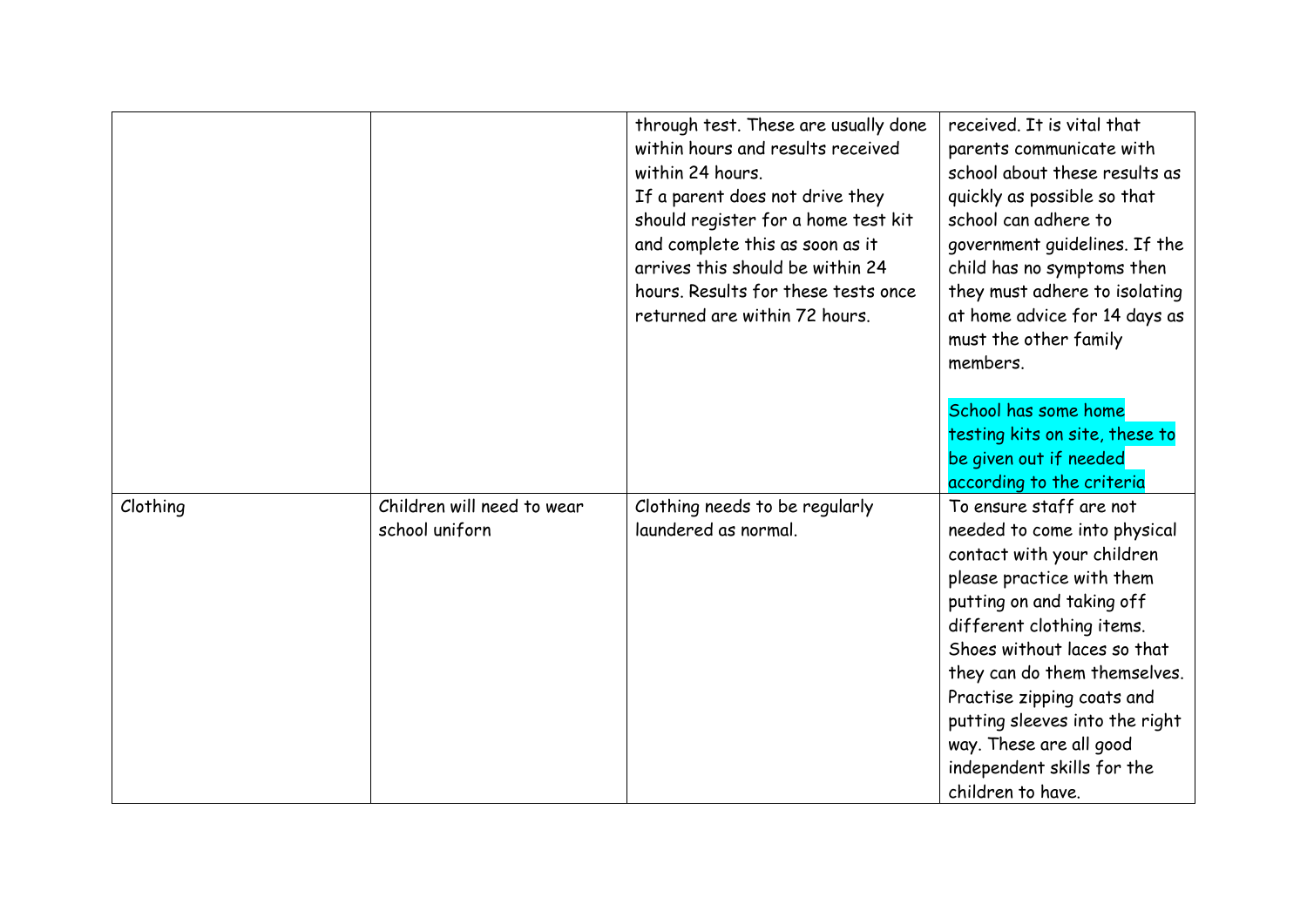|          |                            | through test. These are usually done | received. It is vital that     |
|----------|----------------------------|--------------------------------------|--------------------------------|
|          |                            | within hours and results received    | parents communicate with       |
|          |                            | within 24 hours.                     | school about these results as  |
|          |                            | If a parent does not drive they      | quickly as possible so that    |
|          |                            | should register for a home test kit  | school can adhere to           |
|          |                            | and complete this as soon as it      | government guidelines. If the  |
|          |                            | arrives this should be within 24     | child has no symptoms then     |
|          |                            | hours. Results for these tests once  | they must adhere to isolating  |
|          |                            | returned are within 72 hours.        | at home advice for 14 days as  |
|          |                            |                                      | must the other family          |
|          |                            |                                      | members.                       |
|          |                            |                                      |                                |
|          |                            |                                      | School has some home           |
|          |                            |                                      | testing kits on site, these to |
|          |                            |                                      | be given out if needed         |
|          |                            |                                      | according to the criteria      |
| Clothing | Children will need to wear | Clothing needs to be regularly       | To ensure staff are not        |
|          | school uniforn             | laundered as normal.                 | needed to come into physical   |
|          |                            |                                      | contact with your children     |
|          |                            |                                      | please practice with them      |
|          |                            |                                      | putting on and taking off      |
|          |                            |                                      | different clothing items.      |
|          |                            |                                      | Shoes without laces so that    |
|          |                            |                                      | they can do them themselves.   |
|          |                            |                                      | Practise zipping coats and     |
|          |                            |                                      | putting sleeves into the right |
|          |                            |                                      | way. These are all good        |
|          |                            |                                      | independent skills for the     |
|          |                            |                                      | children to have.              |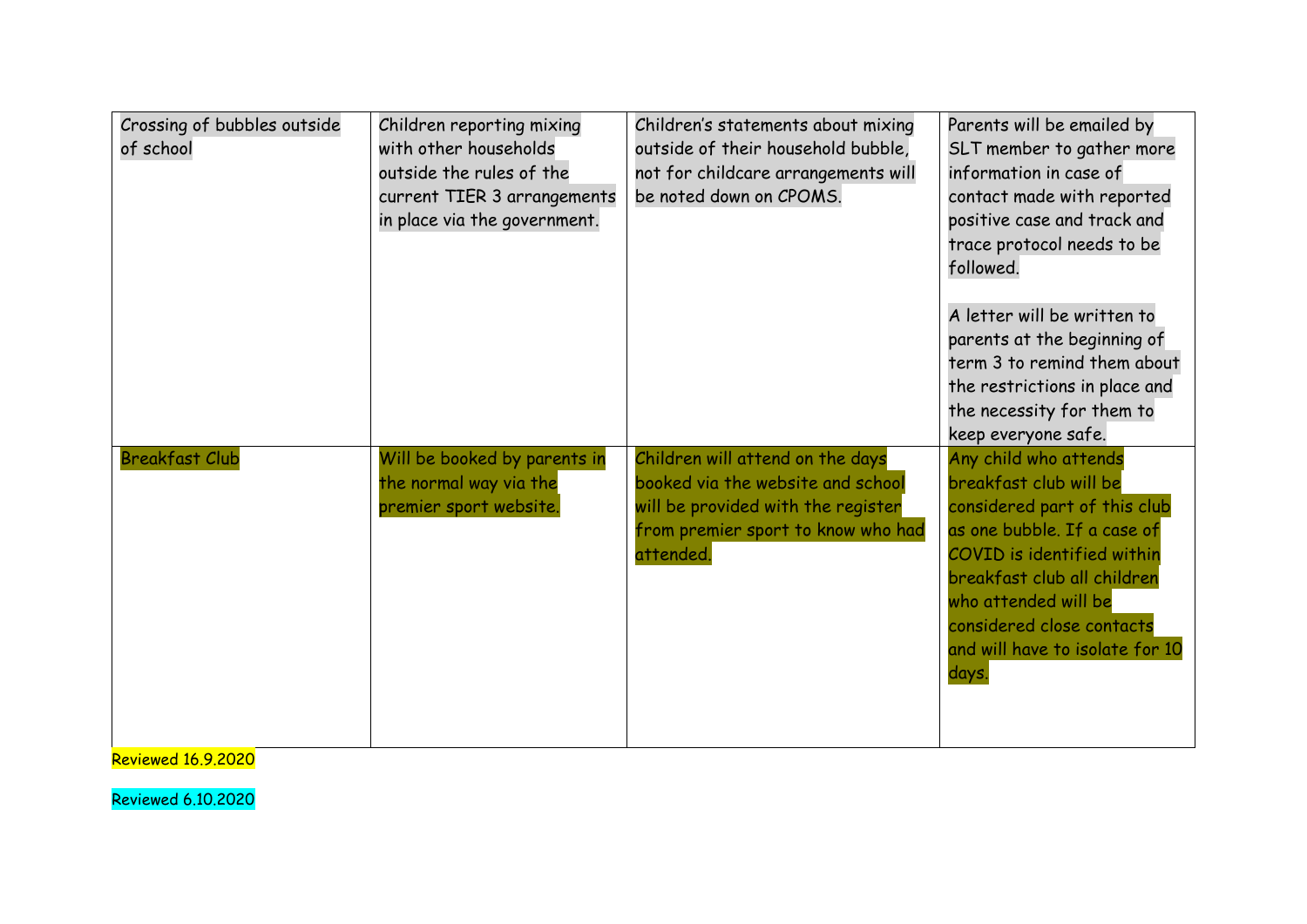| Crossing of bubbles outside<br>of school | Children reporting mixing<br>with other households<br>outside the rules of the<br>current TIER 3 arrangements<br>in place via the government. | Children's statements about mixing<br>outside of their household bubble,<br>not for childcare arrangements will<br>be noted down on CPOMS.                     | Parents will be emailed by<br>SLT member to gather more<br>information in case of<br>contact made with reported<br>positive case and track and<br>trace protocol needs to be<br>followed.                                                                                    |
|------------------------------------------|-----------------------------------------------------------------------------------------------------------------------------------------------|----------------------------------------------------------------------------------------------------------------------------------------------------------------|------------------------------------------------------------------------------------------------------------------------------------------------------------------------------------------------------------------------------------------------------------------------------|
|                                          |                                                                                                                                               |                                                                                                                                                                | A letter will be written to<br>parents at the beginning of<br>term 3 to remind them about<br>the restrictions in place and<br>the necessity for them to<br>keep everyone safe.                                                                                               |
| <b>Breakfast Club</b>                    | Will be booked by parents in<br>the normal way via the<br>premier sport website.                                                              | Children will attend on the days<br>booked via the website and school<br>will be provided with the register<br>from premier sport to know who had<br>attended. | Any child who attends<br>breakfast club will be<br>considered part of this club<br>as one bubble. If a case of<br>COVID is identified within<br>breakfast club all children<br>who attended will be<br>considered close contacts<br>and will have to isolate for 10<br>days. |

Reviewed 16.9.2020

Reviewed 6.10.2020